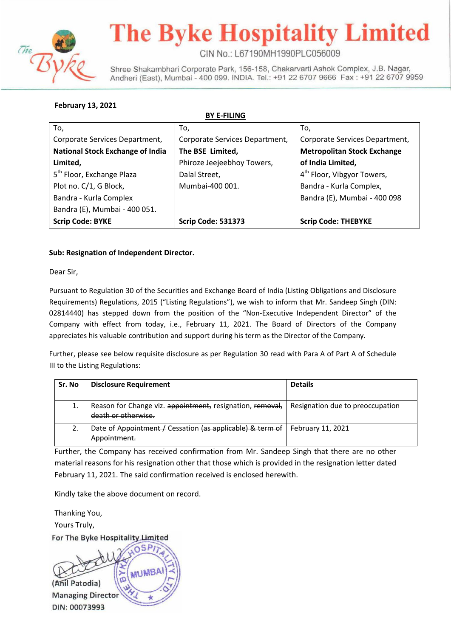

## **The Byke Hospitality Limited**

CIN No.: L67190MH1990PLC056009

Shree Shakambhari Corporate Park, 156-158, Chakarvarti Ashok Complex, J.B. Nagar, Andheri (East), Mumbai - 400 099. INDIA. Tel.: +91 22 6707 9666 Fax : +91 22 6707 9959

## **February 13, 2021**

**BY E-FILING**

| To,                                     | To,                            | To,                                    |
|-----------------------------------------|--------------------------------|----------------------------------------|
| Corporate Services Department,          | Corporate Services Department, | Corporate Services Department,         |
| <b>National Stock Exchange of India</b> | The BSE Limited,               | <b>Metropolitan Stock Exchange</b>     |
| Limited,                                | Phiroze Jeejeebhoy Towers,     | of India Limited,                      |
| 5 <sup>th</sup> Floor, Exchange Plaza   | Dalal Street,                  | 4 <sup>th</sup> Floor, Vibgyor Towers, |
| Plot no. C/1, G Block,                  | Mumbai-400 001.                | Bandra - Kurla Complex,                |
| Bandra - Kurla Complex                  |                                | Bandra (E), Mumbai - 400 098           |
| Bandra (E), Mumbai - 400 051.           |                                |                                        |
| <b>Scrip Code: BYKE</b>                 | Scrip Code: 531373             | <b>Scrip Code: THEBYKE</b>             |

## **Sub: Resignation of Independent Director.**

Dear Sir,

Pursuant to Regulation 30 of the Securities and Exchange Board of India (Listing Obligations and Disclosure Requirements) Regulations, 2015 ("Listing Regulations"), we wish to inform that Mr. Sandeep Singh (DIN: 02814440) has stepped down from the position of the "Non-Executive Independent Director" of the Company with effect from today, i.e., February 11, 2021. The Board of Directors of the Company appreciates his valuable contribution and support during his term as the Director of the Company.

Further, please see below requisite disclosure as per Regulation 30 read with Para A of Part A of Schedule III to the Listing Regulations:

| Sr. No | <b>Disclosure Requirement</b>                                                    | <b>Details</b>                   |
|--------|----------------------------------------------------------------------------------|----------------------------------|
| 1.     | Reason for Change viz. appointment, resignation, removal,<br>death or otherwise. | Resignation due to preoccupation |
| 2.     | Date of Appointment / Cessation (as applicable) & term of<br>Appointment.        | February 11, 2021                |

Further, the Company has received confirmation from Mr. Sandeep Singh that there are no other material reasons for his resignation other that those which is provided in the resignation letter dated February 11, 2021. The said confirmation received is enclosed herewith.

Kindly take the above document on record.

Thanking You, Yours Truly,For The Byke Hospitality Limited